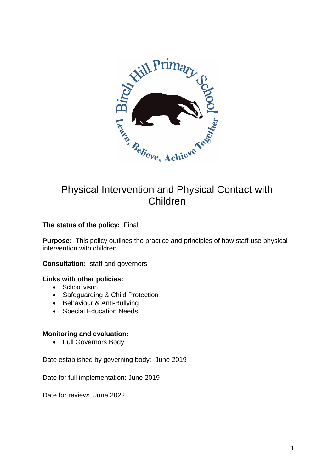

# Physical Intervention and Physical Contact with Children

#### **The status of the policy:** Final

**Purpose:** This policy outlines the practice and principles of how staff use physical intervention with children.

**Consultation:** staff and governors

#### **Links with other policies:**

- School vison
- Safeguarding & Child Protection
- Behaviour & Anti-Bullying
- Special Education Needs

#### **Monitoring and evaluation:**

• Full Governors Body

Date established by governing body: June 2019

Date for full implementation: June 2019

Date for review: June 2022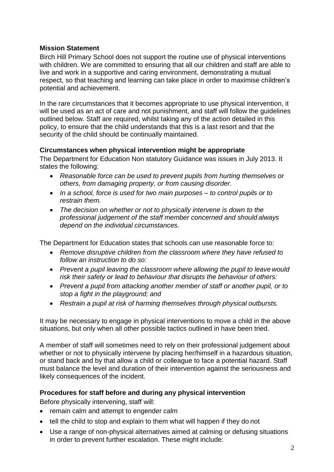#### **Mission Statement**

Birch Hill Primary School does not support the routine use of physical interventions with children. We are committed to ensuring that all our children and staff are able to live and work in a supportive and caring environment, demonstrating a mutual respect, so that teaching and learning can take place in order to maximise children's potential and achievement.

In the rare circumstances that it becomes appropriate to use physical intervention, it will be used as an act of care and not punishment, and staff will follow the guidelines outlined below. Staff are required, whilst taking any of the action detailed in this policy, to ensure that the child understands that this is a last resort and that the security of the child should be continually maintained.

#### **Circumstances when physical intervention might be appropriate**

The Department for Education Non statutory Guidance was issues in July 2013. It states the following:

- *Reasonable force can be used to prevent pupils from hurting themselves or others, from damaging property, or from causing disorder.*
- *In a school, force is used for two main purposes – to control pupils or to restrain them.*
- *The decision on whether or not to physically intervene is down to the professional judgement of the staff member concerned and should always depend on the individual circumstances.*

The Department for Education states that schools can use reasonable force to:

- *Remove disruptive children from the classroom where they have refused to follow an instruction to do so:*
- Prevent a pupil leaving the classroom where allowing the pupil to leave would *risk their safety or lead to behaviour that disrupts the behaviour of others:*
- *Prevent a pupil from attacking another member of staff or another pupil, or to stop a fight in the playground; and*
- *Restrain a pupil at risk of harming themselves through physical outbursts.*

It may be necessary to engage in physical interventions to move a child in the above situations, but only when all other possible tactics outlined in have been tried.

A member of staff will sometimes need to rely on their professional judgement about whether or not to physically intervene by placing her/himself in a hazardous situation, or stand back and by that allow a child or colleague to face a potential hazard. Staff must balance the level and duration of their intervention against the seriousness and likely consequences of the incident.

## **Procedures for staff before and during any physical intervention**

Before physically intervening, staff will:

- remain calm and attempt to engender calm
- tell the child to stop and explain to them what will happen if they do not
- Use a range of non-physical alternatives aimed at calming or defusing situations in order to prevent further escalation. These might include: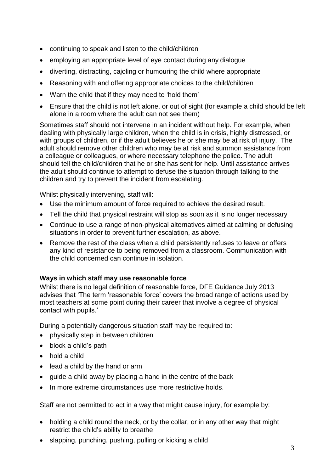- continuing to speak and listen to the child/children
- employing an appropriate level of eye contact during any dialogue
- diverting, distracting, cajoling or humouring the child where appropriate
- Reasoning with and offering appropriate choices to the child/children
- Warn the child that if they may need to 'hold them'
- Ensure that the child is not left alone, or out of sight (for example a child should be left alone in a room where the adult can not see them)

Sometimes staff should not intervene in an incident without help. For example, when dealing with physically large children, when the child is in crisis, highly distressed, or with groups of children, or if the adult believes he or she may be at risk of injury. The adult should remove other children who may be at risk and summon assistance from a colleague or colleagues, or where necessary telephone the police. The adult should tell the child/children that he or she has sent for help. Until assistance arrives the adult should continue to attempt to defuse the situation through talking to the children and try to prevent the incident from escalating.

Whilst physically intervening, staff will:

- Use the minimum amount of force required to achieve the desired result.
- Tell the child that physical restraint will stop as soon as it is no longer necessary
- Continue to use a range of non-physical alternatives aimed at calming or defusing situations in order to prevent further escalation, as above.
- Remove the rest of the class when a child persistently refuses to leave or offers any kind of resistance to being removed from a classroom. Communication with the child concerned can continue in isolation.

## **Ways in which staff may use reasonable force**

Whilst there is no legal definition of reasonable force, DFE Guidance July 2013 advises that 'The term 'reasonable force' covers the broad range of actions used by most teachers at some point during their career that involve a degree of physical contact with pupils.'

During a potentially dangerous situation staff may be required to:

- physically step in between children
- block a child's path
- hold a child
- lead a child by the hand or arm
- guide a child away by placing a hand in the centre of the back
- In more extreme circumstances use more restrictive holds.

Staff are not permitted to act in a way that might cause injury, for example by:

- holding a child round the neck, or by the collar, or in any other way that might restrict the child's ability to breathe
- slapping, punching, pushing, pulling or kicking a child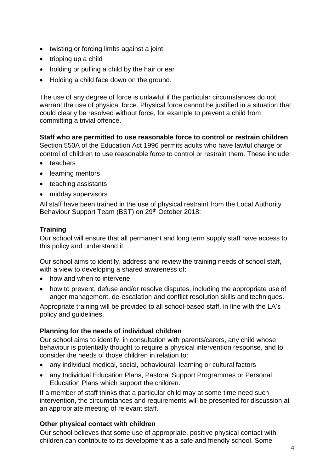- twisting or forcing limbs against a joint
- $\bullet$  tripping up a child
- holding or pulling a child by the hair or ear
- Holding a child face down on the ground.

The use of any degree of force is unlawful if the particular circumstances do not warrant the use of physical force. Physical force cannot be justified in a situation that could clearly be resolved without force, for example to prevent a child from committing a trivial offence.

**Staff who are permitted to use reasonable force to control or restrain children**  Section 550A of the Education Act 1996 permits adults who have lawful charge or

control of children to use reasonable force to control or restrain them. These include: • teachers

- learning mentors
- teaching assistants
- midday supervisors

All staff have been trained in the use of physical restraint from the Local Authority Behaviour Support Team (BST) on 29<sup>th</sup> October 2018:

## **Training**

Our school will ensure that all permanent and long term supply staff have access to this policy and understand it.

Our school aims to identify, address and review the training needs of school staff, with a view to developing a shared awareness of:

- how and when to intervene
- how to prevent, defuse and/or resolve disputes, including the appropriate use of anger management, de-escalation and conflict resolution skills and techniques.

Appropriate training will be provided to all school-based staff, in line with the LA's policy and guidelines.

## **Planning for the needs of individual children**

Our school aims to identify, in consultation with parents/carers, any child whose behaviour is potentially thought to require a physical intervention response, and to consider the needs of those children in relation to:

- any individual medical, social, behavioural, learning or cultural factors
- any Individual Education Plans, Pastoral Support Programmes or Personal Education Plans which support the children.

If a member of staff thinks that a particular child may at some time need such intervention, the circumstances and requirements will be presented for discussion at an appropriate meeting of relevant staff.

## **Other physical contact with children**

Our school believes that some use of appropriate, positive physical contact with children can contribute to its development as a safe and friendly school. Some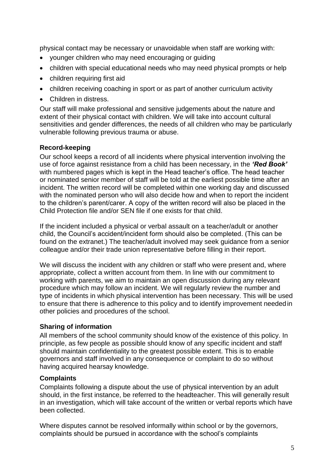physical contact may be necessary or unavoidable when staff are working with:

- younger children who may need encouraging or guiding
- children with special educational needs who may need physical prompts or help
- children requiring first aid
- children receiving coaching in sport or as part of another curriculum activity
- Children in distress.

Our staff will make professional and sensitive judgements about the nature and extent of their physical contact with children. We will take into account cultural sensitivities and gender differences, the needs of all children who may be particularly vulnerable following previous trauma or abuse.

#### **Record-keeping**

Our school keeps a record of all incidents where physical intervention involving the use of force against resistance from a child has been necessary, in the *'Red Book'* with numbered pages which is kept in the Head teacher's office. The head teacher or nominated senior member of staff will be told at the earliest possible time after an incident. The written record will be completed within one working day and discussed with the nominated person who will also decide how and when to report the incident to the children's parent/carer. A copy of the written record will also be placed in the Child Protection file and/or SEN file if one exists for that child.

If the incident included a physical or verbal assault on a teacher/adult or another child, the Council's accident/incident form should also be completed. (This can be found on the extranet.) The teacher/adult involved may seek guidance from a senior colleague and/or their trade union representative before filling in their report.

We will discuss the incident with any children or staff who were present and, where appropriate, collect a written account from them. In line with our commitment to working with parents, we aim to maintain an open discussion during any relevant procedure which may follow an incident. We will regularly review the number and type of incidents in which physical intervention has been necessary. This will be used to ensure that there is adherence to this policy and to identify improvement neededin other policies and procedures of the school.

## **Sharing of information**

All members of the school community should know of the existence of this policy. In principle, as few people as possible should know of any specific incident and staff should maintain confidentiality to the greatest possible extent. This is to enable governors and staff involved in any consequence or complaint to do so without having acquired hearsay knowledge.

## **Complaints**

Complaints following a dispute about the use of physical intervention by an adult should, in the first instance, be referred to the headteacher. This will generally result in an investigation, which will take account of the written or verbal reports which have been collected.

Where disputes cannot be resolved informally within school or by the governors, complaints should be pursued in accordance with the school's complaints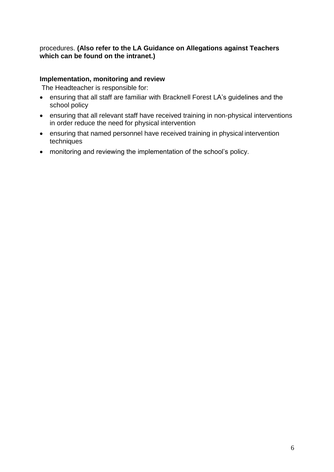## procedures. **(Also refer to the LA Guidance on Allegations against Teachers which can be found on the intranet.)**

#### **Implementation, monitoring and review**

The Headteacher is responsible for:

- ensuring that all staff are familiar with Bracknell Forest LA's guidelines and the school policy
- ensuring that all relevant staff have received training in non-physical interventions in order reduce the need for physical intervention
- ensuring that named personnel have received training in physical intervention techniques
- monitoring and reviewing the implementation of the school's policy.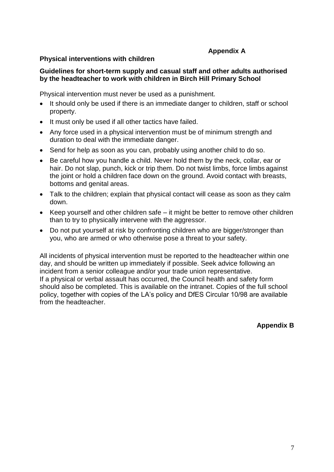## **Appendix A**

#### **Physical interventions with children**

#### **Guidelines for short-term supply and casual staff and other adults authorised by the headteacher to work with children in Birch Hill Primary School**

Physical intervention must never be used as a punishment.

- It should only be used if there is an immediate danger to children, staff or school property.
- It must only be used if all other tactics have failed.
- Any force used in a physical intervention must be of minimum strength and duration to deal with the immediate danger.
- Send for help as soon as you can, probably using another child to do so.
- Be careful how you handle a child. Never hold them by the neck, collar, ear or hair. Do not slap, punch, kick or trip them. Do not twist limbs, force limbs against the joint or hold a children face down on the ground. Avoid contact with breasts, bottoms and genital areas.
- Talk to the children; explain that physical contact will cease as soon as they calm down.
- Keep yourself and other children safe it might be better to remove other children than to try to physically intervene with the aggressor.
- Do not put yourself at risk by confronting children who are bigger/stronger than you, who are armed or who otherwise pose a threat to your safety.

All incidents of physical intervention must be reported to the headteacher within one day, and should be written up immediately if possible. Seek advice following an incident from a senior colleague and/or your trade union representative. If a physical or verbal assault has occurred, the Council health and safety form should also be completed. This is available on the intranet. Copies of the full school policy, together with copies of the LA's policy and DfES Circular 10/98 are available from the headteacher.

**Appendix B**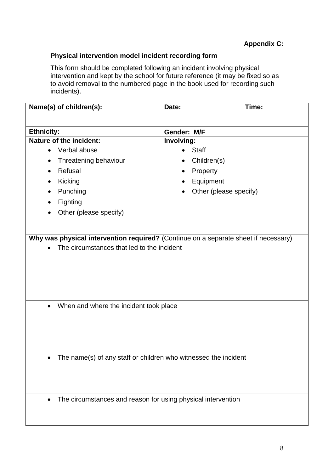## **Physical intervention model incident recording form**

This form should be completed following an incident involving physical intervention and kept by the school for future reference (it may be fixed so as to avoid removal to the numbered page in the book used for recording such incidents).

| Name(s) of children(s):                             | Time:<br>Date:                                                  |
|-----------------------------------------------------|-----------------------------------------------------------------|
|                                                     |                                                                 |
| <b>Ethnicity:</b>                                   | Gender: M/F                                                     |
| Nature of the incident:                             | Involving:                                                      |
| Verbal abuse                                        | <b>Staff</b>                                                    |
| Threatening behaviour                               | Children(s)                                                     |
| Refusal                                             | Property<br>$\bullet$                                           |
| Kicking                                             | Equipment                                                       |
| Punching                                            | Other (please specify)                                          |
| Fighting                                            |                                                                 |
| Other (please specify)                              |                                                                 |
|                                                     |                                                                 |
|                                                     |                                                                 |
| When and where the incident took place<br>$\bullet$ |                                                                 |
|                                                     | The name(s) of any staff or children who witnessed the incident |
|                                                     | The circumstances and reason for using physical intervention    |
|                                                     |                                                                 |